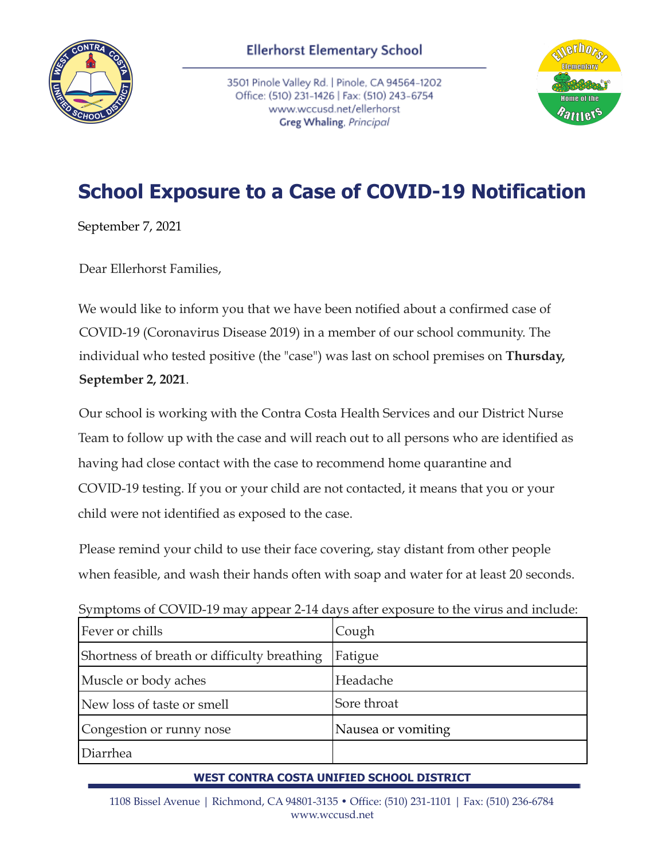

3501 Pinole Valley Rd. | Pinole, CA 94564-1202 Office: (510) 231-1426 | Fax: (510) 243-6754 www.wccusd.net/ellerhorst Greg Whaling, Principal



## **School Exposure to a Case of COVID-19 Notification**

September 7, 2021

Dear Ellerhorst Families,

We would like to inform you that we have been notified about a confirmed case of COVID-19 (Coronavirus Disease 2019) in a member of our school community. The individual who tested positive (the "case") was last on school premises on **Thursday, September 2, 2021**.

Our school is working with the Contra Costa Health Services and our District Nurse Team to follow up with the case and will reach out to all persons who are identified as having had close contact with the case to recommend home quarantine and COVID-19 testing. If you or your child are not contacted, it means that you or your child were not identified as exposed to the case.

Please remind your child to use their face covering, stay distant from other people when feasible, and wash their hands often with soap and water for at least 20 seconds.

Symptoms of COVID-19 may appear 2-14 days after exposure to the virus and include:

| Fever or chills                             | Cough              |
|---------------------------------------------|--------------------|
| Shortness of breath or difficulty breathing | Fatigue            |
| Muscle or body aches                        | Headache           |
| New loss of taste or smell                  | Sore throat        |
| Congestion or runny nose                    | Nausea or vomiting |
| Diarrhea                                    |                    |

## **WEST CONTRA COSTA UNIFIED SCHOOL DISTRICT**

1108 Bissel Avenue | Richmond, CA 94801-3135 • Office: (510) 231-1101 | Fax: (510) 236-6784 www.wccusd.net